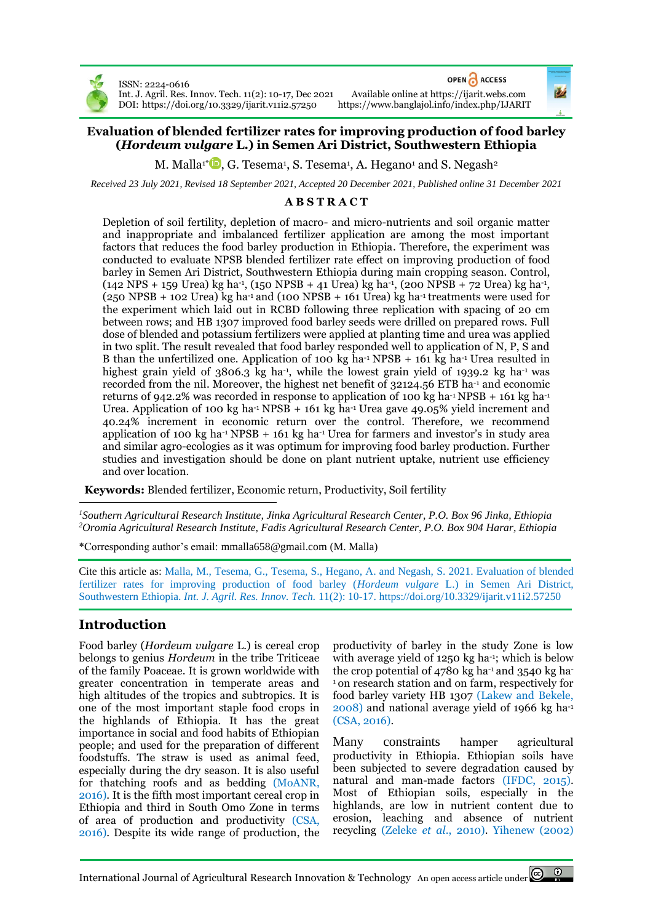

ISSN: 2224-0616 DOI: <https://doi.org/10.3329/ijarit.v11i2.57250> OPEN CACCESS

Int. J. Agril. Res. Innov. Tech. 11(2): 10-17, Dec 2021 Available online a[t https://ijarit.webs.com](http://ijarit.webs.com/)

## **Evaluation of blended fertilizer rates for improving production of food barley (***Hordeum vulgare* **L.) in Semen Ari District, Southwestern Ethiopia**

M. Malla1\* $\blacksquare$ [,](https://orcid.org/0000-0001-6248-8134) G. Tesema<sup>1</sup>, S. Tesema<sup>1</sup>, A. Hegano<sup>1</sup> and S. Negash<sup>2</sup>

*Received 23 July 2021, Revised 18 September 2021, Accepted 20 December 2021, Published online 31 December 2021*

## **A B S T R A C T**

Depletion of soil fertility, depletion of macro- and micro-nutrients and soil organic matter and inappropriate and imbalanced fertilizer application are among the most important factors that reduces the food barley production in Ethiopia. Therefore, the experiment was conducted to evaluate NPSB blended fertilizer rate effect on improving production of food barley in Semen Ari District, Southwestern Ethiopia during main cropping season. Control,  $(142 \text{ NPS} + 159 \text{ Urea}) \text{ kg ha}^{-1}$ ,  $(150 \text{ NPSB} + 41 \text{ Urea}) \text{ kg ha}^{-1}$ ,  $(200 \text{ NPSB} + 72 \text{ Urea}) \text{ kg ha}^{-1}$ ,  $(250 \text{ NPSB} + 102 \text{ U}$ rea) kg ha<sup>-1</sup> and  $(100 \text{ NPSB} + 161 \text{ U}$ rea) kg ha<sup>-1</sup> treatments were used for the experiment which laid out in RCBD following three replication with spacing of 20 cm between rows; and HB 1307 improved food barley seeds were drilled on prepared rows. Full dose of blended and potassium fertilizers were applied at planting time and urea was applied in two split. The result revealed that food barley responded well to application of N, P, S and B than the unfertilized one. Application of 100 kg ha<sup>-1</sup> NPSB  $+$  161 kg ha<sup>-1</sup> Urea resulted in highest grain yield of 3806.3 kg ha<sup>-1</sup>, while the lowest grain yield of 1939.2 kg ha<sup>-1</sup> was recorded from the nil. Moreover, the highest net benefit of 32124.56 ETB ha-1 and economic returns of 942.2% was recorded in response to application of 100 kg ha<sup>-1</sup> NPSB + 161 kg ha<sup>-1</sup> Urea. Application of 100 kg ha<sup>-1</sup> NPSB + 161 kg ha<sup>-1</sup> Urea gave 49.05% yield increment and 40.24% increment in economic return over the control. Therefore, we recommend application of 100 kg ha<sup>-1</sup> NPSB + 161 kg ha<sup>-1</sup> Urea for farmers and investor's in study area and similar agro-ecologies as it was optimum for improving food barley production. Further studies and investigation should be done on plant nutrient uptake, nutrient use efficiency and over location.

**Keywords:** Blended fertilizer, Economic return, Productivity, Soil fertility

*<sup>1</sup>Southern Agricultural Research Institute, Jinka Agricultural Research Center, P.O. Box 96 Jinka, Ethiopia <sup>2</sup>Oromia Agricultural Research Institute, Fadis Agricultural Research Center, P.O. Box 904 Harar, Ethiopia*

\*Corresponding author's email[: mmalla658@gmail.com](mailto:mmalla658@gmail.com) (M. Malla)

Cite this article as: Malla, M., Tesema, G., Tesema, S., Hegano, A. and Negash, S. 2021. Evaluation of blended fertilizer rates for improving production of food barley (*Hordeum vulgare* L.) in Semen Ari District, Southwestern Ethiopia. *Int. J. Agril. Res. Innov. Tech.* 11(2): 10-17. <https://doi.org/10.3329/ijarit.v11i2.57250>

# **Introduction**

Food barley (*Hordeum vulgare* L.) is cereal crop belongs to genius *Hordeum* in the tribe Triticeae of the family Poaceae. It is grown worldwide with greater concentration in temperate areas and high altitudes of the tropics and subtropics. It is one of the most important staple food crops in the highlands of Ethiopia. It has the great importance in social and food habits of Ethiopian people; and used for the preparation of different foodstuffs. The straw is used as animal feed, especially during the dry season. It is also useful for thatching roofs and as bedding (MoANR, 2016). It is the fifth most important cereal crop in Ethiopia and third in South Omo Zone in terms of area of production and productivity (CSA, 2016). Despite its wide range of production, the

productivity of barley in the study Zone is low with average yield of 1250 kg ha-1; which is below the crop potential of  $4780$  kg ha<sup>-1</sup> and  $3540$  kg ha-<sup>1</sup> on research station and on farm, respectively for food barley variety HB 1307 (Lakew and Bekele, 2008) and national average yield of 1966 kg ha-1 (CSA, 2016).

Many constraints hamper agricultural productivity in Ethiopia. Ethiopian soils have been subjected to severe degradation caused by natural and man-made factors (IFDC, 2015). Most of Ethiopian soils, especially in the highlands, are low in nutrient content due to erosion, leaching and absence of nutrient recycling (Zeleke *et al*., 2010). Yihenew (2002)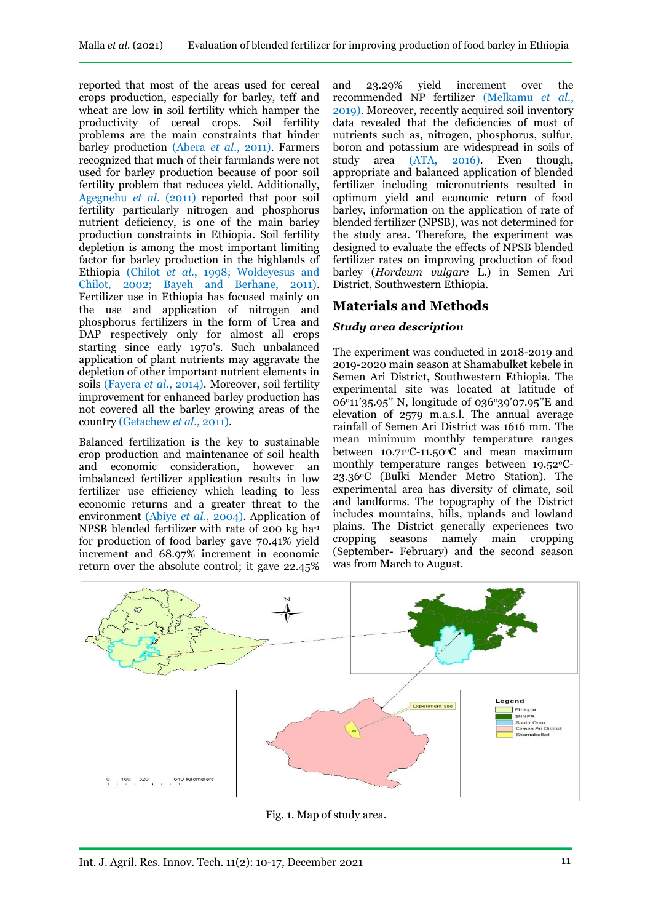reported that most of the areas used for cereal crops production, especially for barley, teff and wheat are low in soil fertility which hamper the productivity of cereal crops. Soil fertility problems are the main constraints that hinder barley production (Abera *et al*., 2011). Farmers recognized that much of their farmlands were not used for barley production because of poor soil fertility problem that reduces yield. Additionally, Agegnehu *et al*. (2011) reported that poor soil fertility particularly nitrogen and phosphorus nutrient deficiency, is one of the main barley production constraints in Ethiopia. Soil fertility depletion is among the most important limiting factor for barley production in the highlands of Ethiopia (Chilot *et al*., 1998; Woldeyesus and Chilot, 2002; Bayeh and Berhane, 2011). Fertilizer use in Ethiopia has focused mainly on the use and application of nitrogen and phosphorus fertilizers in the form of Urea and DAP respectively only for almost all crops starting since early 1970's. Such unbalanced application of plant nutrients may aggravate the depletion of other important nutrient elements in soils (Fayera *et al*., 2014). Moreover, soil fertility improvement for enhanced barley production has not covered all the barley growing areas of the country (Getachew *et al*., 2011).

Balanced fertilization is the key to sustainable crop production and maintenance of soil health and economic consideration, however an imbalanced fertilizer application results in low fertilizer use efficiency which leading to less economic returns and a greater threat to the environment (Abiye *et al*., 2004). Application of NPSB blended fertilizer with rate of 200 kg ha-1 for production of food barley gave 70.41% yield increment and 68.97% increment in economic return over the absolute control; it gave 22.45%

and 23.29% yield increment over the recommended NP fertilizer (Melkamu *et al*., 2019). Moreover, recently acquired soil inventory data revealed that the deficiencies of most of nutrients such as, nitrogen, phosphorus, sulfur, boron and potassium are widespread in soils of study area (ATA, 2016). Even though, appropriate and balanced application of blended fertilizer including micronutrients resulted in optimum yield and economic return of food barley, information on the application of rate of blended fertilizer (NPSB), was not determined for the study area. Therefore, the experiment was designed to evaluate the effects of NPSB blended fertilizer rates on improving production of food barley (*Hordeum vulgare* L.) in Semen Ari District, Southwestern Ethiopia.

# **Materials and Methods**

### *Study area description*

The experiment was conducted in 2018-2019 and 2019-2020 main season at Shamabulket kebele in Semen Ari District, Southwestern Ethiopia. The experimental site was located at latitude of  $06°11'35.95''$  N, longitude of 036°39'07.95"E and elevation of 2579 m.a.s.l. The annual average rainfall of Semen Ari District was 1616 mm. The mean minimum monthly temperature ranges between  $10.71^{\circ}$ C-11.50 $^{\circ}$ C and mean maximum monthly temperature ranges between  $19.52^{\circ}$ C-23.36oC (Bulki Mender Metro Station). The experimental area has diversity of climate, soil and landforms. The topography of the District includes mountains, hills, uplands and lowland plains. The District generally experiences two cropping seasons namely main cropping (September- February) and the second season was from March to August.



Fig. 1. Map of study area.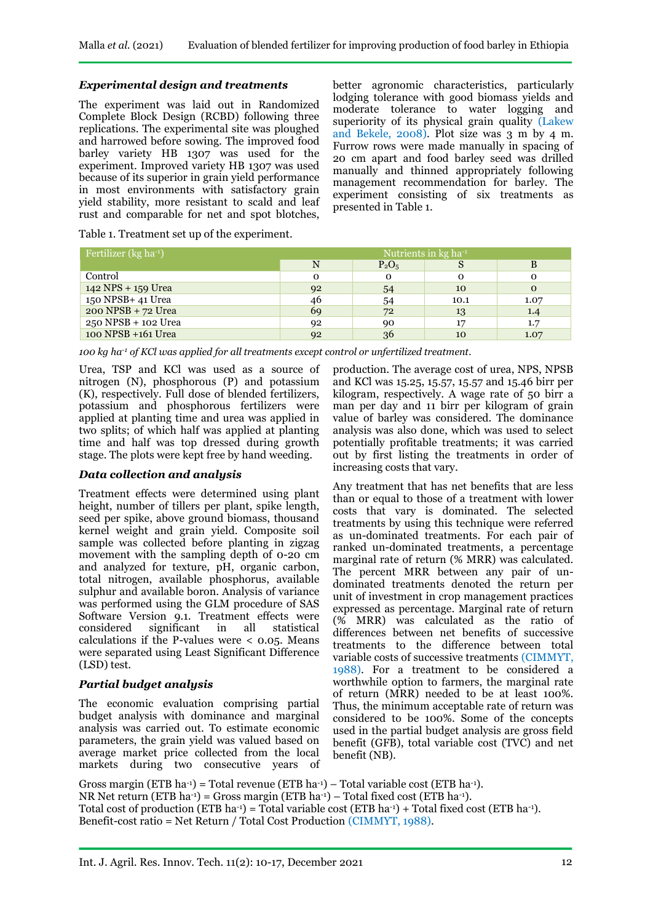### *Experimental design and treatments*

The experiment was laid out in Randomized Complete Block Design (RCBD) following three replications. The experimental site was ploughed and harrowed before sowing. The improved food barley variety HB 1307 was used for the experiment. Improved variety HB 1307 was used because of its superior in grain yield performance in most environments with satisfactory grain yield stability, more resistant to scald and leaf rust and comparable for net and spot blotches,

better agronomic characteristics, particularly lodging tolerance with good biomass yields and moderate tolerance to water logging and superiority of its physical grain quality (Lakew and Bekele, 2008). Plot size was 3 m by 4 m. Furrow rows were made manually in spacing of 20 cm apart and food barley seed was drilled manually and thinned appropriately following management recommendation for barley. The experiment consisting of six treatments as presented in Table 1.

Table 1. Treatment set up of the experiment.

| Fertilizer (kg ha <sup>-1</sup> ) | Nutrients in $kg$ ha <sup>-1</sup> |          |          |      |  |
|-----------------------------------|------------------------------------|----------|----------|------|--|
|                                   |                                    | $P_2O_5$ | S        |      |  |
| Control                           | $\Omega$                           |          | $\Omega$ |      |  |
| 142 NPS + 159 Urea                | 92                                 | 54       | 10       |      |  |
| 150 NPSB+ 41 Urea                 | 46                                 | 54       | 10.1     | 1.07 |  |
| 200 NPSB + 72 Urea                | 69                                 | 72       | 13       | 1.4  |  |
| 250 NPSB + 102 Urea               | 92                                 | 90       | 17       | 1.7  |  |
| 100 NPSB +161 Urea                | 92                                 | 36       | 10       | 1.07 |  |

*100 kg ha-1 of KCl was applied for all treatments except control or unfertilized treatment.*

Urea, TSP and KCl was used as a source of nitrogen (N), phosphorous (P) and potassium (K), respectively. Full dose of blended fertilizers, potassium and phosphorous fertilizers were applied at planting time and urea was applied in two splits; of which half was applied at planting time and half was top dressed during growth stage. The plots were kept free by hand weeding.

### *Data collection and analysis*

Treatment effects were determined using plant height, number of tillers per plant, spike length, seed per spike, above ground biomass, thousand kernel weight and grain yield. Composite soil sample was collected before planting in zigzag movement with the sampling depth of 0-20 cm and analyzed for texture, pH, organic carbon, total nitrogen, available phosphorus, available sulphur and available boron. Analysis of variance was performed using the GLM procedure of SAS Software Version 9.1. Treatment effects were considered significant in all statistical calculations if the P-values were  $\lt$  0.05. Means were separated using Least Significant Difference (LSD) test.

### *Partial budget analysis*

The economic evaluation comprising partial budget analysis with dominance and marginal analysis was carried out. To estimate economic parameters, the grain yield was valued based on average market price collected from the local markets during two consecutive years of

production. The average cost of urea, NPS, NPSB and KCl was 15.25, 15.57, 15.57 and 15.46 birr per kilogram, respectively. A wage rate of 50 birr a man per day and 11 birr per kilogram of grain value of barley was considered. The dominance analysis was also done, which was used to select potentially profitable treatments; it was carried out by first listing the treatments in order of increasing costs that vary.

Any treatment that has net benefits that are less than or equal to those of a treatment with lower costs that vary is dominated. The selected treatments by using this technique were referred as un-dominated treatments. For each pair of ranked un-dominated treatments, a percentage marginal rate of return (% MRR) was calculated. The percent MRR between any pair of undominated treatments denoted the return per unit of investment in crop management practices expressed as percentage. Marginal rate of return (% MRR) was calculated as the ratio of differences between net benefits of successive treatments to the difference between total variable costs of successive treatments (CIMMYT, 1988). For a treatment to be considered a worthwhile option to farmers, the marginal rate of return (MRR) needed to be at least 100%. Thus, the minimum acceptable rate of return was considered to be 100%. Some of the concepts used in the partial budget analysis are gross field benefit (GFB), total variable cost (TVC) and net benefit (NB).

Gross margin (ETB ha<sup>-1</sup>) = Total revenue (ETB ha<sup>-1</sup>) – Total variable cost (ETB ha<sup>-1</sup>). NR Net return (ETB ha-1) = Gross margin (ETB ha-1) – Total fixed cost (ETB ha-1). Total cost of production (ETB ha<sup>-1</sup>) = Total variable cost (ETB ha<sup>-1</sup>) + Total fixed cost (ETB ha<sup>-1</sup>). Benefit-cost ratio = Net Return / Total Cost Production (CIMMYT, 1988).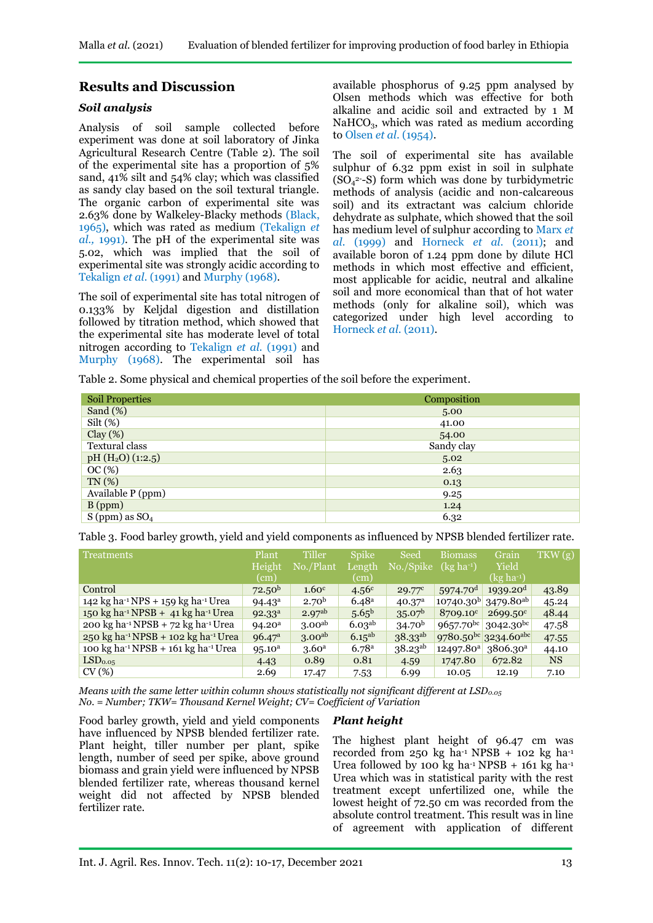# **Results and Discussion**

### *Soil analysis*

Analysis of soil sample collected before experiment was done at soil laboratory of Jinka Agricultural Research Centre (Table 2). The soil of the experimental site has a proportion of 5% sand, 41% silt and 54% clay; which was classified as sandy clay based on the soil textural triangle. The organic carbon of experimental site was 2.63% done by Walkeley-Blacky methods (Black, 1965), which was rated as medium (Tekalign *et al.,* 1991). The pH of the experimental site was 5.02, which was implied that the soil of experimental site was strongly acidic according to Tekalign *et al.* (1991) and Murphy (1968).

The soil of experimental site has total nitrogen of 0.133% by Keljdal digestion and distillation followed by titration method, which showed that the experimental site has moderate level of total nitrogen according to Tekalign *et al.* (1991) and Murphy (1968). The experimental soil has

available phosphorus of 9.25 ppm analysed by Olsen methods which was effective for both alkaline and acidic soil and extracted by 1 M NaHCO<sub>3</sub>, which was rated as medium according to Olsen *et al*. (1954).

The soil of experimental site has available sulphur of 6.32 ppm exist in soil in sulphate  $(SO<sub>4</sub><sup>2-</sup>S)$  form which was done by turbidymetric methods of analysis (acidic and non-calcareous soil) and its extractant was calcium chloride dehydrate as sulphate, which showed that the soil has medium level of sulphur according to Marx *et al.* (1999) and Horneck *et al*. (2011); and available boron of 1.24 ppm done by dilute HCl methods in which most effective and efficient, most applicable for acidic, neutral and alkaline soil and more economical than that of hot water methods (only for alkaline soil), which was categorized under high level according to Horneck *et al*. (2011).

Table 2. Some physical and chemical properties of the soil before the experiment.

| <b>Soil Properties</b>       | Composition |
|------------------------------|-------------|
| Sand $(\%)$                  | 5.00        |
| $Silt$ $(\%)$                | 41.00       |
| Clay(%)                      | 54.00       |
| Textural class               | Sandy clay  |
| pH $(H2O)$ (1:2.5)           | 5.02        |
| OC(%)                        | 2.63        |
| TN(%)                        | 0.13        |
| Available P (ppm)            | 9.25        |
| $B$ (ppm)                    | 1.24        |
| S (ppm) as $\overline{SO_4}$ | 6.32        |

Table 3. Food barley growth, yield and yield components as influenced by NPSB blended fertilizer rate.

| <b>Treatments</b>                                                     | Plant              | Tiller             | <b>Spike</b>       | Seed               | <b>Biomass</b>         | Grain                                 | TKW(g)    |
|-----------------------------------------------------------------------|--------------------|--------------------|--------------------|--------------------|------------------------|---------------------------------------|-----------|
|                                                                       | Height             | No./Plant          | Length             | No./Spike          | $(xgha^{-1})$          | Yield                                 |           |
|                                                                       | (cm)               |                    | (cm)               |                    |                        | $(kg ha^{-1})$                        |           |
| Control                                                               | 72.50 <sup>b</sup> | 1.60 <sup>c</sup>  | 4.56 <sup>c</sup>  | $29.77^{\circ}$    | $5974.70$ <sup>d</sup> | 1939.20 <sup>d</sup>                  | 43.89     |
| 142 kg ha <sup>-1</sup> NPS + 159 kg ha <sup>-1</sup> Urea            | $94.43^{\circ}$    | 2.70 <sup>b</sup>  | 6.48 <sup>a</sup>  | 40.37 <sup>a</sup> |                        | $10740.30^{b}$ 3479.80 <sup>ab</sup>  | 45.24     |
| 150 kg ha <sup>-1</sup> NPSB + 41 kg ha <sup>-1</sup> Urea            | 92.33 <sup>a</sup> | 2.97 <sup>ab</sup> | 5.65 <sup>b</sup>  | 35.07 <sup>b</sup> | 8709.10 <sup>c</sup>   | $2699.50^{\circ}$                     | 48.44     |
| 200 kg ha <sup>-1</sup> NPSB + 72 kg ha <sup>-1</sup> Urea            | 94.20 <sup>a</sup> | 3.00 <sup>ab</sup> | 6.03 <sup>ab</sup> | 34.70 <sup>b</sup> | $9657.70^{bc}$         | $3042.30^{bc}$                        | 47.58     |
| $250 \text{ kg}$ ha <sup>-1</sup> NPSB + 102 kg ha <sup>-1</sup> Urea | 96.47 <sup>a</sup> | 3.00 <sup>ab</sup> | $6.15^{ab}$        | $38.33^{ab}$       |                        | $9780.50^{bc}$ 3234.60 <sup>abc</sup> | 47.55     |
| 100 kg ha <sup>-1</sup> NPSB + 161 kg ha <sup>-1</sup> Urea           | $95.10^a$          | 3.60 <sup>a</sup>  | 6.78a              | $38.23^{ab}$       | $12497.80^{a}$         | 3806.30 <sup>a</sup>                  | 44.10     |
| LSD <sub>0.05</sub>                                                   | 4.43               | 0.89               | 0.81               | 4.59               | 1747.80                | 672.82                                | <b>NS</b> |
| CV(%)                                                                 | 2.69               | 17.47              | 7.53               | 6.99               | 10.05                  | 12.19                                 | 7.10      |

*Means with the same letter within column shows statistically not significant different at LSD0.05 No. = Number; TKW= Thousand Kernel Weight; CV= Coefficient of Variation*

### *Plant height*

Food barley growth, yield and yield components have influenced by NPSB blended fertilizer rate. Plant height, tiller number per plant, spike length, number of seed per spike, above ground biomass and grain yield were influenced by NPSB blended fertilizer rate, whereas thousand kernel weight did not affected by NPSB blended fertilizer rate.

The highest plant height of 96.47 cm was recorded from 250 kg ha-1 NPSB + 102 kg ha-1 Urea followed by 100 kg ha<sup>-1</sup> NPSB + 161 kg ha<sup>-1</sup> Urea which was in statistical parity with the rest treatment except unfertilized one, while the lowest height of 72.50 cm was recorded from the absolute control treatment. This result was in line of agreement with application of different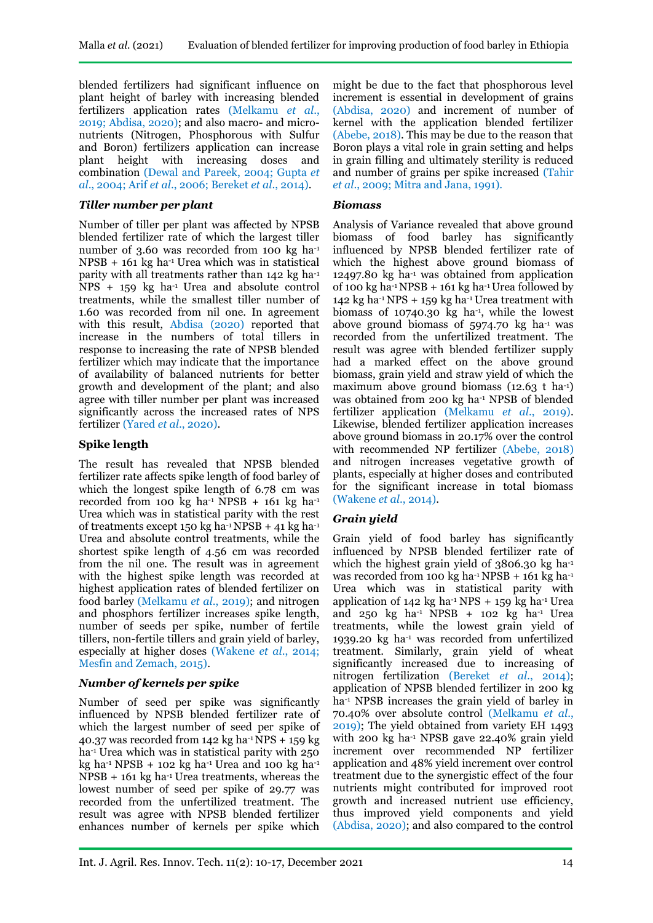blended fertilizers had significant influence on plant height of barley with increasing blended fertilizers application rates (Melkamu *et al*., 2019; Abdisa, 2020); and also macro- and micronutrients (Nitrogen, Phosphorous with Sulfur and Boron) fertilizers application can increase plant height with increasing doses and combination (Dewal and Pareek, 2004; Gupta *et al*., 2004; Arif *et al*., 2006; Bereket *et al*., 2014).

#### *Tiller number per plant*

Number of tiller per plant was affected by NPSB blended fertilizer rate of which the largest tiller number of 3.60 was recorded from 100 kg ha-1  $NPSB + 161$  kg ha<sup>-1</sup> Urea which was in statistical parity with all treatments rather than 142 kg ha-1  $NPS + 159$  kg ha<sup>-1</sup> Urea and absolute control treatments, while the smallest tiller number of 1.60 was recorded from nil one. In agreement with this result, Abdisa (2020) reported that increase in the numbers of total tillers in response to increasing the rate of NPSB blended fertilizer which may indicate that the importance of availability of balanced nutrients for better growth and development of the plant; and also agree with tiller number per plant was increased significantly across the increased rates of NPS fertilizer (Yared *et al*., 2020).

### **Spike length**

The result has revealed that NPSB blended fertilizer rate affects spike length of food barley of which the longest spike length of 6.78 cm was recorded from 100 kg ha<sup>-1</sup> NPSB + 161 kg ha<sup>-1</sup> Urea which was in statistical parity with the rest of treatments except 150 kg ha $^{-1}$  NPSB + 41 kg ha $^{-1}$ Urea and absolute control treatments, while the shortest spike length of 4.56 cm was recorded from the nil one. The result was in agreement with the highest spike length was recorded at highest application rates of blended fertilizer on food barley (Melkamu *et al*., 2019); and nitrogen and phosphors fertilizer increases spike length, number of seeds per spike, number of fertile tillers, non-fertile tillers and grain yield of barley, especially at higher doses (Wakene *et al*., 2014; Mesfin and Zemach, 2015).

### *Number of kernels per spike*

Number of seed per spike was significantly influenced by NPSB blended fertilizer rate of which the largest number of seed per spike of 40.37 was recorded from 142 kg ha<sup>-1</sup> NPS  $+$  159 kg ha<sup>-1</sup> Urea which was in statistical parity with 250 kg ha<sup>-1</sup> NPSB + 102 kg ha<sup>-1</sup> Urea and 100 kg ha<sup>-1</sup>  $NPSB + 161$  kg ha<sup>-1</sup> Urea treatments, whereas the lowest number of seed per spike of 29.77 was recorded from the unfertilized treatment. The result was agree with NPSB blended fertilizer enhances number of kernels per spike which might be due to the fact that phosphorous level increment is essential in development of grains (Abdisa, 2020) and increment of number of kernel with the application blended fertilizer (Abebe, 2018). This may be due to the reason that Boron plays a vital role in grain setting and helps in grain filling and ultimately sterility is reduced and number of grains per spike increased (Tahir *et al*., 2009; Mitra and Jana, 1991).

#### *Biomass*

Analysis of Variance revealed that above ground biomass of food barley has significantly influenced by NPSB blended fertilizer rate of which the highest above ground biomass of 12497.80 kg ha-1 was obtained from application of 100 kg ha<sup>-1</sup> NPSB + 161 kg ha<sup>-1</sup> Urea followed by 142 kg ha<sup>-1</sup> NPS + 159 kg ha<sup>-1</sup> Urea treatment with biomass of 10740.30 kg ha-1, while the lowest above ground biomass of 5974.70 kg ha-1 was recorded from the unfertilized treatment. The result was agree with blended fertilizer supply had a marked effect on the above ground biomass, grain yield and straw yield of which the maximum above ground biomass  $(12.63 \text{ t} \text{ ha}^{-1})$ was obtained from 200 kg ha-1 NPSB of blended fertilizer application (Melkamu *et al*., 2019). Likewise, blended fertilizer application increases above ground biomass in 20.17% over the control with recommended NP fertilizer (Abebe, 2018) and nitrogen increases vegetative growth of plants, especially at higher doses and contributed for the significant increase in total biomass (Wakene *et al*., 2014).

### *Grain yield*

Grain yield of food barley has significantly influenced by NPSB blended fertilizer rate of which the highest grain yield of 3806.30 kg ha-1 was recorded from 100 kg ha<sup>-1</sup> NPSB + 161 kg ha<sup>-1</sup> Urea which was in statistical parity with application of  $142$  kg ha<sup>-1</sup> NPS +  $159$  kg ha<sup>-1</sup> Urea and  $250 \text{ kg}$  ha<sup>-1</sup> NPSB + 102 kg ha<sup>-1</sup> Urea treatments, while the lowest grain yield of 1939.20 kg ha-1 was recorded from unfertilized treatment. Similarly, grain yield of wheat significantly increased due to increasing of nitrogen fertilization (Bereket *et al.*, 2014); application of NPSB blended fertilizer in 200 kg ha<sup>-1</sup> NPSB increases the grain yield of barley in 70.40% over absolute control (Melkamu *et al*., 2019); The yield obtained from variety EH 1493 with 200 kg ha-1 NPSB gave 22.40% grain yield increment over recommended NP fertilizer application and 48% yield increment over control treatment due to the synergistic effect of the four nutrients might contributed for improved root growth and increased nutrient use efficiency, thus improved yield components and yield (Abdisa, 2020); and also compared to the control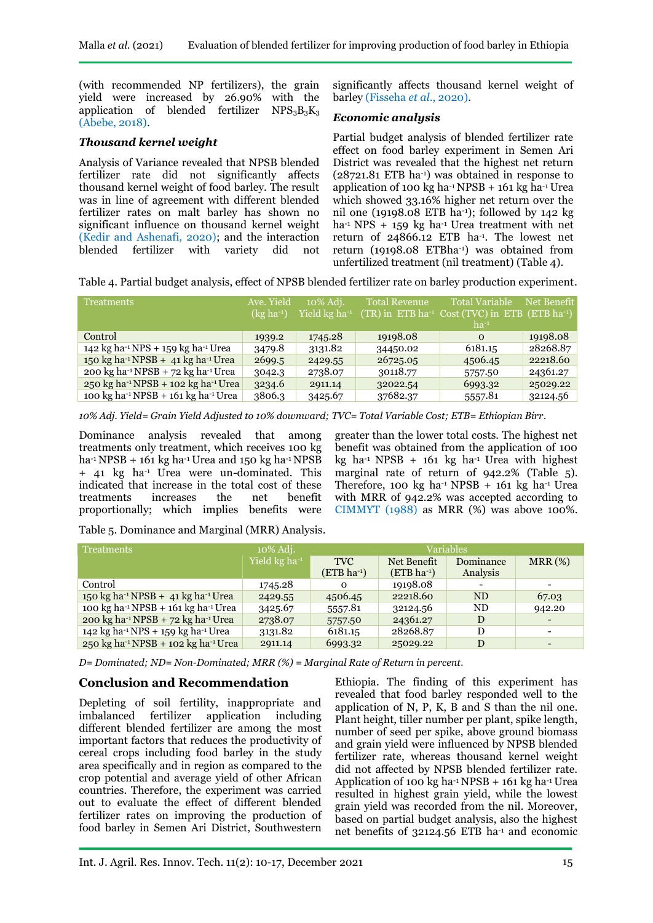(with recommended NP fertilizers), the grain yield were increased by 26.90% with the application of blended fertilizer  $NPS_3B_3K_3$ (Abebe, 2018).

### *Thousand kernel weight*

Analysis of Variance revealed that NPSB blended fertilizer rate did not significantly affects thousand kernel weight of food barley. The result was in line of agreement with different blended fertilizer rates on malt barley has shown no significant influence on thousand kernel weight (Kedir and Ashenafi, 2020); and the interaction blended fertilizer with variety did not significantly affects thousand kernel weight of barley (Fisseha *et al*., 2020).

#### *Economic analysis*

Partial budget analysis of blended fertilizer rate effect on food barley experiment in Semen Ari District was revealed that the highest net return (28721.81 ETB ha-1) was obtained in response to application of 100 kg ha<sup>-1</sup> NPSB  $+$  161 kg ha<sup>-1</sup> Urea which showed 33.16% higher net return over the nil one (19198.08 ETB ha-1); followed by  $142 \text{ kg}$ ha<sup>-1</sup> NPS + 159 kg ha<sup>-1</sup> Urea treatment with net return of 24866.12 ETB ha-1 . The lowest net return (19198.08 ETBha-1) was obtained from unfertilized treatment (nil treatment) (Table 4).

Table 4. Partial budget analysis, effect of NPSB blended fertilizer rate on barley production experiment.

| <b>Treatments</b>                                                                                | Ave. Yield<br>$(kg ha^{-1})$ | 10% Adj.<br>Yield kg ha <sup>-1</sup> | <b>Total Revenue</b> | <b>Total Variable</b><br>$T(TR)$ in ETB ha <sup>-1</sup> Cost (TVC) in ETB (ETB ha <sup>-1</sup> )<br>$ha^{-1}$ | Net Benefit |
|--------------------------------------------------------------------------------------------------|------------------------------|---------------------------------------|----------------------|-----------------------------------------------------------------------------------------------------------------|-------------|
| Control                                                                                          | 1939.2                       | 1745.28                               | 19198.08             | $\Omega$                                                                                                        | 19198.08    |
| 142 kg ha <sup>-1</sup> NPS + 159 kg ha <sup>-1</sup> Urea                                       | 3479.8                       | 3131.82                               | 34450.02             | 6181.15                                                                                                         | 28268.87    |
| $150 \text{ kg} \text{ ha}^{-1} \text{NPSB} + 41 \text{ kg} \text{ ha}^{-1} \text{U} \text{rea}$ | 2699.5                       | 2429.55                               | 26725.05             | 4506.45                                                                                                         | 22218.60    |
| 200 kg ha <sup>-1</sup> NPSB + 72 kg ha <sup>-1</sup> Urea                                       | 3042.3                       | 2738.07                               | 30118.77             | 5757.50                                                                                                         | 24361.27    |
| 250 kg ha <sup>-1</sup> NPSB + 102 kg ha <sup>-1</sup> Urea                                      | 3234.6                       | 2911.14                               | 32022.54             | 6993.32                                                                                                         | 25029.22    |
| 100 kg ha <sup>-1</sup> NPSB + 161 kg ha <sup>-1</sup> Urea                                      | 3806.3                       | 3425.67                               | 37682.37             | 5557.81                                                                                                         | 32124.56    |

*10% Adj. Yield= Grain Yield Adjusted to 10% downward; TVC= Total Variable Cost; ETB= Ethiopian Birr.*

Dominance analysis revealed that among treatments only treatment, which receives 100 kg ha-1 NPSB + 161 kg ha-1 Urea and 150 kg ha-1 NPSB + 41 kg ha-1 Urea were un-dominated. This indicated that increase in the total cost of these treatments increases the net benefit proportionally; which implies benefits were greater than the lower total costs. The highest net benefit was obtained from the application of 100 kg ha-1 NPSB + 161 kg ha-1 Urea with highest marginal rate of return of 942.2% (Table 5). Therefore, 100 kg ha<sup>-1</sup> NPSB + 161 kg ha<sup>-1</sup> Urea with MRR of 942.2% was accepted according to CIMMYT (1988) as MRR (%) was above 100%.

Table 5. Dominance and Marginal (MRR) Analysis.

| <b>Treatments</b>                                                                                  | 10% Adj.                  | Variables               |              |                |        |
|----------------------------------------------------------------------------------------------------|---------------------------|-------------------------|--------------|----------------|--------|
|                                                                                                    | Yield kg ha <sup>-1</sup> | <b>TVC</b>              | Net Benefit  | Dominance      | MRR(%) |
|                                                                                                    |                           | (ETB ha <sup>-1</sup> ) | $(ETB ha-1)$ | Analysis       |        |
| Control                                                                                            | 1745.28                   | $\Omega$                | 19198.08     |                |        |
| $150 \text{ kg} \text{ ha}^{-1} \text{ NPSB} + 41 \text{ kg} \text{ ha}^{-1} \text{ U} \text{rea}$ | 2429.55                   | 4506.45                 | 22218.60     | N <sub>D</sub> | 67.03  |
| 100 kg ha <sup>-1</sup> NPSB + 161 kg ha <sup>-1</sup> Urea                                        | 3425.67                   | 5557.81                 | 32124.56     | ND             | 942.20 |
| 200 kg ha <sup>-1</sup> NPSB + 72 kg ha <sup>-1</sup> Urea                                         | 2738.07                   | 5757.50                 | 24361.27     | D              |        |
| 142 kg ha <sup>-1</sup> NPS + 159 kg ha <sup>-1</sup> Urea                                         | 3131.82                   | 6181.15                 | 28268.87     | D              |        |
| $250 \text{ kg} \text{ ha}^{-1} \text{NPSB} + 102 \text{ kg} \text{ ha}^{-1} \text{U} \text{rea}$  | 2911.14                   | 6993.32                 | 25029.22     | D              |        |

*D= Dominated; ND= Non-Dominated; MRR (%) = Marginal Rate of Return in percent.*

## **Conclusion and Recommendation**

Depleting of soil fertility, inappropriate and imbalanced fertilizer application including different blended fertilizer are among the most important factors that reduces the productivity of cereal crops including food barley in the study area specifically and in region as compared to the crop potential and average yield of other African countries. Therefore, the experiment was carried out to evaluate the effect of different blended fertilizer rates on improving the production of food barley in Semen Ari District, Southwestern Ethiopia. The finding of this experiment has revealed that food barley responded well to the application of N, P, K, B and S than the nil one. Plant height, tiller number per plant, spike length, number of seed per spike, above ground biomass and grain yield were influenced by NPSB blended fertilizer rate, whereas thousand kernel weight did not affected by NPSB blended fertilizer rate. Application of 100 kg ha $-1$  NPSB + 161 kg ha $-1$  Urea resulted in highest grain yield, while the lowest grain yield was recorded from the nil. Moreover, based on partial budget analysis, also the highest net benefits of 32124.56 ETB ha-1 and economic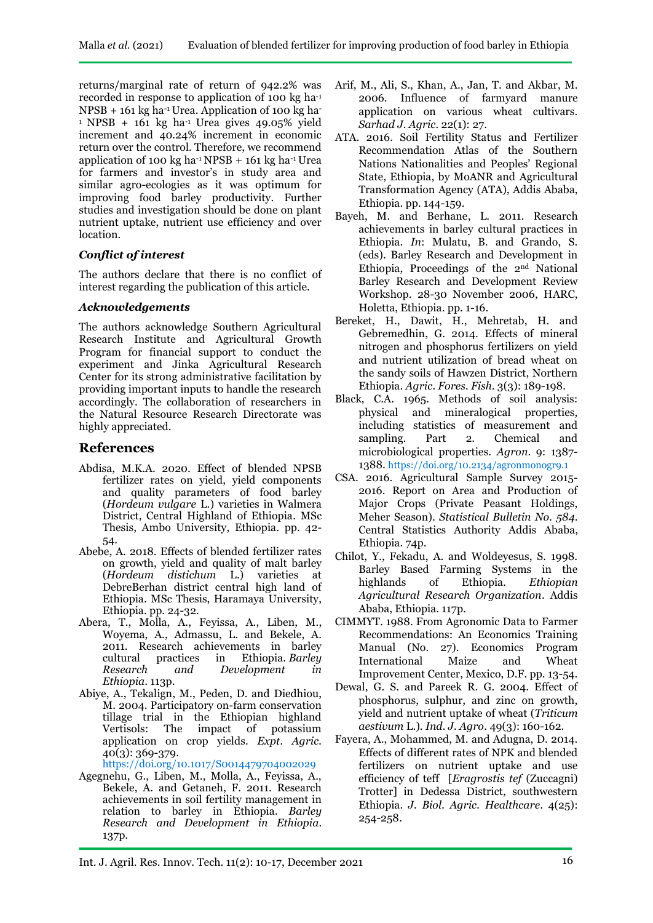returns/marginal rate of return of 942.2% was recorded in response to application of 100 kg ha-1  $NPSB + 161$  kg ha<sup>-1</sup> Urea. Application of 100 kg ha- $1 NPSB + 161 kg ha<sup>-1</sup> Urea gives 49.05% yield$ increment and 40.24% increment in economic return over the control. Therefore, we recommend application of 100 kg ha<sup>-1</sup> NPSB + 161 kg ha<sup>-1</sup> Urea for farmers and investor's in study area and similar agro-ecologies as it was optimum for improving food barley productivity. Further studies and investigation should be done on plant nutrient uptake, nutrient use efficiency and over location.

## *Conflict of interest*

The authors declare that there is no conflict of interest regarding the publication of this article.

### *Acknowledgements*

The authors acknowledge Southern Agricultural Research Institute and Agricultural Growth Program for financial support to conduct the experiment and Jinka Agricultural Research Center for its strong administrative facilitation by providing important inputs to handle the research accordingly. The collaboration of researchers in the Natural Resource Research Directorate was highly appreciated.

# **References**

- Abdisa, M.K.A. 2020. Effect of blended NPSB fertilizer rates on yield, yield components and quality parameters of food barley (*Hordeum vulgare* L.) varieties in Walmera District, Central Highland of Ethiopia. MSc Thesis, Ambo University, Ethiopia. pp. 42- 54.
- Abebe, A. 2018. Effects of blended fertilizer rates on growth, yield and quality of malt barley (*Hordeum distichum* L.) varieties at DebreBerhan district central high land of Ethiopia. MSc Thesis, Haramaya University, Ethiopia. pp. 24-32.
- Abera, T., Molla, A., Feyissa, A., Liben, M., Woyema, A., Admassu, L. and Bekele, A. 2011. Research achievements in barley cultural practices in Ethiopia. *Barley Research and Development in Ethiopia*. 113p.
- Abiye, A., Tekalign, M., Peden, D. and Diedhiou, M. 2004. Participatory on-farm conservation tillage trial in the Ethiopian highland Vertisols: The impact of potassium application on crop yields. *Expt. Agric.* 40(3): 369-379. <https://doi.org/10.1017/S0014479704002029>

Agegnehu, G., Liben, M., Molla, A., Feyissa, A., Bekele, A. and Getaneh, F. 2011. Research achievements in soil fertility management in relation to barley in Ethiopia. *Barley Research and Development in Ethiopia*. 137p.

- Arif, M., Ali, S., Khan, A., Jan, T. and Akbar, M. 2006. Influence of farmyard manure application on various wheat cultivars. *Sarhad J. Agric.* 22(1): 27.
- ATA. 2016. Soil Fertility Status and Fertilizer Recommendation Atlas of the Southern Nations Nationalities and Peoples' Regional State, Ethiopia, by MoANR and Agricultural Transformation Agency (ATA), Addis Ababa, Ethiopia. pp. 144-159.
- Bayeh, M. and Berhane, L. 2011. Research achievements in barley cultural practices in Ethiopia. *In*: Mulatu, B. and Grando, S. (eds). Barley Research and Development in Ethiopia, Proceedings of the 2nd National Barley Research and Development Review Workshop. 28-30 November 2006, HARC, Holetta, Ethiopia. pp. 1-16.
- Bereket, H., Dawit, H., Mehretab, H. and Gebremedhin, G. 2014. Effects of mineral nitrogen and phosphorus fertilizers on yield and nutrient utilization of bread wheat on the sandy soils of Hawzen District, Northern Ethiopia. *Agric. Fores. Fish.* 3(3): 189-198.
- Black, C.A. 1965. Methods of soil analysis: physical and mineralogical properties, including statistics of measurement and sampling. Part 2. Chemical and microbiological properties. *Agron*. 9: 1387- 1388. <https://doi.org/10.2134/agronmonogr9.1>
- CSA. 2016. Agricultural Sample Survey 2015- 2016. Report on Area and Production of Major Crops (Private Peasant Holdings, Meher Season). *Statistical Bulletin No. 584*. Central Statistics Authority Addis Ababa, Ethiopia. 74p.
- Chilot, Y., Fekadu, A. and Woldeyesus, S. 1998. Barley Based Farming Systems in the highlands of Ethiopia. *Ethiopian Agricultural Research Organization*. Addis Ababa, Ethiopia. 117p.
- CIMMYT. 1988. From Agronomic Data to Farmer Recommendations: An Economics Training Manual (No. 27). Economics Program International Maize and Wheat Improvement Center, Mexico, D.F. pp. 13-54.
- Dewal, G. S. and Pareek R. G. 2004. Effect of phosphorus, sulphur, and zinc on growth, yield and nutrient uptake of wheat (*Triticum aestivum* L.). *Ind. J. Agro*. 49(3): 160-162.
- Fayera, A., Mohammed, M. and Adugna, D. 2014. Effects of different rates of NPK and blended fertilizers on nutrient uptake and use efficiency of teff [*Eragrostis tef* (Zuccagni) Trotter] in Dedessa District, southwestern Ethiopia. *J. Biol. Agric. Healthcare*. 4(25): 254-258.